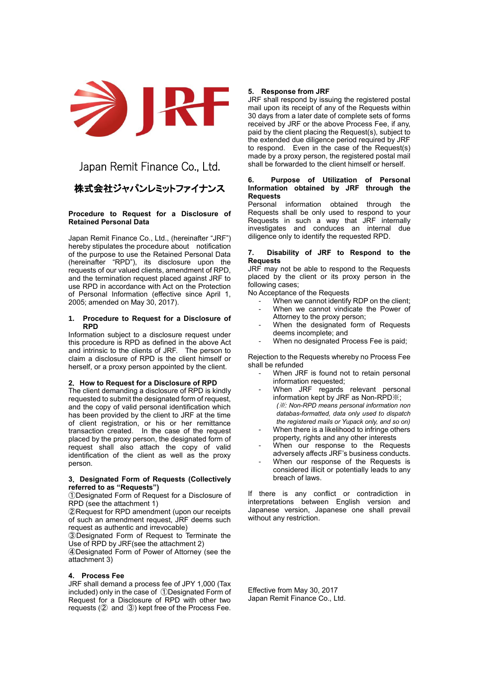

# Japan Remit Finance Co., Ltd.

## 株式会社ジャパンレミットファイナンス

## **Procedure to Request for a Disclosure of Retained Personal Data**

Japan Remit Finance Co., Ltd., (hereinafter "JRF") hereby stipulates the procedure about notification of the purpose to use the Retained Personal Data (hereinafter "RPD"), its disclosure upon the requests of our valued clients, amendment of RPD, and the termination request placed against JRF to use RPD in accordance with Act on the Protection of Personal Information (effective since April 1, 2005; amended on May 30, 2017).

#### **1. Procedure to Request for a Disclosure of RPD**

Information subject to a disclosure request under this procedure is RPD as defined in the above Act and intrinsic to the clients of JRF. The person to claim a disclosure of RPD is the client himself or herself, or a proxy person appointed by the client.

## **2**.**How to Request for a Disclosure of RPD**

The client demanding a disclosure of RPD is kindly requested to submit the designated form of request, and the copy of valid personal identification which has been provided by the client to JRF at the time of client registration, or his or her remittance transaction created. In the case of the request placed by the proxy person, the designated form of request shall also attach the copy of valid identification of the client as well as the proxy person.

## **3**.**Designated Form of Requests (Collectively referred to as "Requests")**

①Designated Form of Request for a Disclosure of RPD (see the attachment 1)

②Request for RPD amendment (upon our receipts of such an amendment request, JRF deems such request as authentic and irrevocable)

③Designated Form of Request to Terminate the Use of RPD by JRF(see the attachment 2)

④Designated Form of Power of Attorney (see the attachment 3)

## **4. Process Fee**

JRF shall demand a process fee of JPY 1,000 (Tax included) only in the case of ①Designated Form of Request for a Disclosure of RPD with other two requests (② and ③) kept free of the Process Fee.

## **5. Response from JRF**

JRF shall respond by issuing the registered postal mail upon its receipt of any of the Requests within 30 days from a later date of complete sets of forms received by JRF or the above Process Fee, if any, paid by the client placing the Request(s), subject to the extended due diligence period required by JRF to respond. Even in the case of the Request(s) made by a proxy person, the registered postal mail shall be forwarded to the client himself or herself.

## **6. Purpose of Utilization of Personal Information obtained by JRF through the Requests**

Personal information obtained through the Requests shall be only used to respond to your Requests in such a way that JRF internally investigates and conduces an internal due diligence only to identify the requested RPD.

#### **7. Disability of JRF to Respond to the Requests**

JRF may not be able to respond to the Requests placed by the client or its proxy person in the following cases;

No Acceptance of the Requests

- When we cannot identify RDP on the client:
- When we cannot vindicate the Power of Attorney to the proxy person;
- When the designated form of Requests deems incomplete; and
- When no designated Process Fee is paid;

Rejection to the Requests whereby no Process Fee shall be refunded

- When JRF is found not to retain personal information requested;
- When JRF regards relevant personal information kept by JRF as Non-RPD※; *(*※*: Non-RPD means personal information non databas-formatted, data only used to dispatch the registered mails or Yupack only, and so on)*
- When there is a likelihood to infringe others property, rights and any other interests
- When our response to the Requests adversely affects JRF's business conducts.
- When our response of the Requests is considered illicit or potentially leads to any breach of laws.

If there is any conflict or contradiction in interpretations between English version and Japanese version, Japanese one shall prevail without any restriction.

Effective from May 30, 2017 Japan Remit Finance Co., Ltd.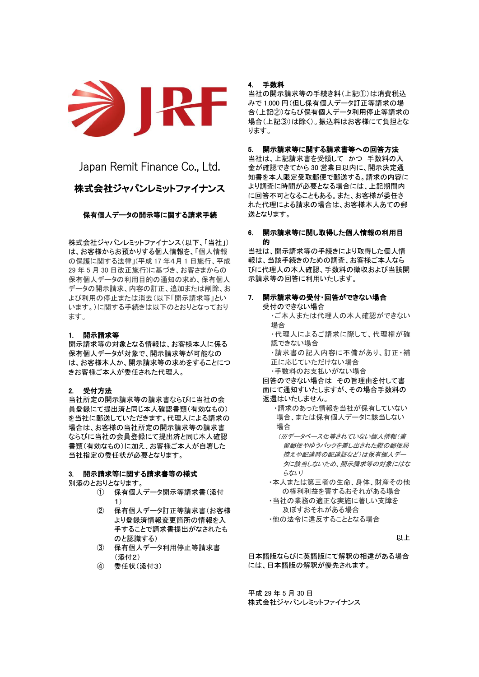

Japan Remit Finance Co., Ltd. 株式会社ジャパンレミットファイナンス

## 保有個人データの開示等に関する請求手続

株式会社ジャパンレミットファイナンス(以下、「当社」) は、お客様からお預かりする個人情報を、「個人情報 の保護に関する法律」(平成 17 年4月 1 日施行、平成 29 年 5 月 30 日改正施行)に基づき、お客さまからの 保有個人データの利用目的の通知の求め、保有個人 データの開示請求、内容の訂正、追加または削除、お よび利用の停止または消去(以下「開示請求等」とい います。)に関する手続きは以下のとおりとなっており ます。

## 1. 開示請求等

開示請求等の対象となる情報は、お客様本人に係る 保有個人データが対象で、開示請求等が可能なの は、お客様本人か、開示請求等の求めをすることにつ きお客様ご本人が委任された代理人。

#### 2. 受付方法

当社所定の開示請求等の請求書ならびに当社の会 員登録にて提出済と同じ本人確認書類(有効なもの) を当社に郵送していただきます。代理人による請求の 場合は、お客様の当社所定の開示請求等の請求書 ならびに当社の会員登録にて提出済と同じ本人確認 書類(有効なもの)に加え、お客様ご本人が自署した 当社指定の委任状が必要となります。

#### 3. 開示請求等に関する請求書等の様式

別添のとおりとなります。

- ① 保有個人データ開示等請求書(添付 1)
- ② 保有個人データ訂正等請求書(お客様 より登録済情報変更箇所の情報を入 手することで請求書提出がなされたも のと認識する)
- ③ 保有個人データ利用停止等請求書 (添付2)
- ④ 委任状(添付3)

## 4. 手数料

当社の開示請求等の手続き料(上記①)は消費税込 みで 1,000 円(但し保有個人データ訂正等請求の場 合(上記②)ならび保有個人データ利用停止等請求の 場合(上記③)は除く)。振込料はお客様にて負担とな ります。

## 5. 開示請求等に関する請求書等への回答方法

当社は、上記請求書を受領して かつ 手数料の入 金が確認できてから 30 営業日以内に、開示決定通 知書を本人限定受取郵便で郵送する。請求の内容に より調査に時間が必要となる場合には、上記期間内 に回答不可となることもある。また、お客様が委任さ れた代理による請求の場合は、お客様本人あての郵 送となります。

## 6. 開示請求等に関し取得した個人情報の利用目 的

当社は、開示請求等の手続きにより取得した個人情 報は、当該手続きのための調査、お客様ご本人なら びに代理人の本人確認、手数料の徴収および当該開 示請求等の回答に利用いたします。

## 7. 開示請求等の受付・回答ができない場合

受付のできない場合 ・ご本人または代理人の本人確認ができない 場合

・代理人によるご請求に際して、代理権が確 認できない場合

・請求書の記入内容に不備があり、訂正・補 正に応じていただけない場合

・手数料のお支払いがない場合

 回答のできない場合は その旨理由を付して書 面にて通知すいたしますが、その場合手数料の 返還はいたしません。

・請求のあった情報を当社が保有していない 場合、または保有個人データに該当しない 場合

(※データベース化等されていない個人情報(書 留郵便やゆうパックを差し出された際の郵便局 控えや配達時の配達証など)は保有個人デー タに該当しないため、開示請求等の対象にはな らない)

・本人または第三者の生命、身体、財産その他 の権利利益を害するおそれがある場合

・当社の業務の適正な実施に著しい支障を 及ぼすおそれがある場合 ・他の法令に違反することとなる場合

**レレト** 

日本語版ならびに英語版にて解釈の相違がある場合 には、日本語版の解釈が優先されます。

平成 29 年 5 月 30 日 株式会社ジャパンレミットファイナンス